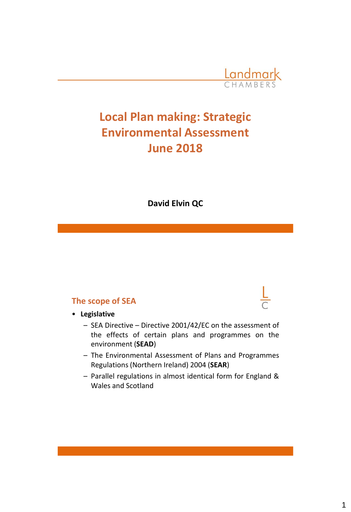

# **Local Plan making: Strategic Environmental Assessment June 2018**

**David Elvin QC**

#### **The scope of SEA**

• **Legislative**

- SEA Directive Directive 2001/42/EC on the assessment of the effects of certain plans and programmes on the environment (**SEAD**)
- The Environmental Assessment of Plans and Programmes Regulations (Northern Ireland) 2004 (**SEAR**)
- Parallel regulations in almost identical form for England & Wales and Scotland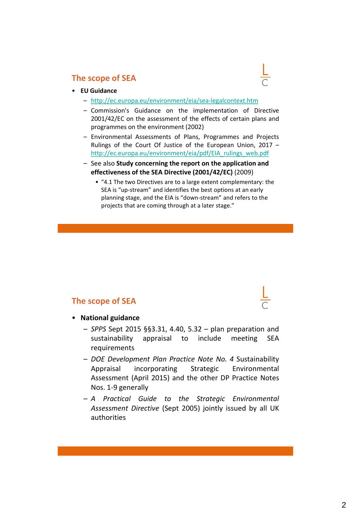

- **EU Guidance**
	- <http://ec.europa.eu/environment/eia/sea-legalcontext.htm>
	- Commission's Guidance on the implementation of Directive 2001/42/EC on the assessment of the effects of certain plans and programmes on the environment (2002)
	- Environmental Assessments of Plans, Programmes and Projects Rulings of the Court Of Justice of the European Union, 2017 – [http://ec.europa.eu/environment/eia/pdf/EIA\\_rulings\\_web.pdf](http://ec.europa.eu/environment/eia/pdf/EIA_rulings_web.pdf)
	- See also **Study concerning the report on the application and effectiveness of the SEA Directive (2001/42/EC)** (2009)
		- "4.1 The two Directives are to a large extent complementary: the SEA is "up-stream" and identifies the best options at an early planning stage, and the EIA is "down-stream" and refers to the projects that are coming through at a later stage."

### **The scope of SEA**



#### • **National guidance**

- *SPPS* Sept 2015 §§3.31, 4.40, 5.32 plan preparation and sustainability appraisal to include meeting SEA requirements
- *DOE Development Plan Practice Note No. 4* Sustainability Appraisal incorporating Strategic Environmental Assessment (April 2015) and the other DP Practice Notes Nos. 1-9 generally
- *A Practical Guide to the Strategic Environmental Assessment Directive* (Sept 2005) jointly issued by all UK authorities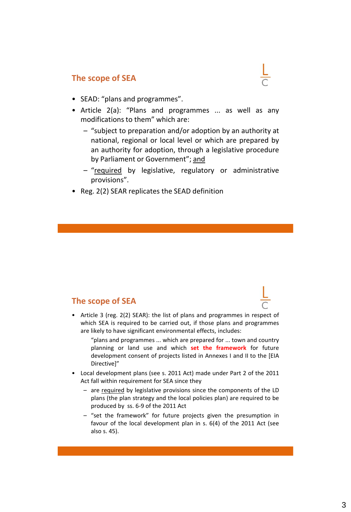- SEAD: "plans and programmes".
- Article 2(a): "Plans and programmes ... as well as any modifications to them" which are:
	- "subject to preparation and/or adoption by an authority at national, regional or local level or which are prepared by an authority for adoption, through a legislative procedure by Parliament or Government"; and
	- "required by legislative, regulatory or administrative provisions".
- Reg. 2(2) SEAR replicates the SEAD definition

### **The scope of SEA**

- Article 3 (reg. 2(2) SEAR): the list of plans and programmes in respect of which SEA is required to be carried out, if those plans and programmes are likely to have significant environmental effects, includes:
	- "plans and programmes ... which are prepared for ... town and country planning or land use and which **set the framework** for future development consent of projects listed in Annexes I and II to the [EIA Directive]"
- Local development plans (see s. 2011 Act) made under Part 2 of the 2011 Act fall within requirement for SEA since they
	- are required by legislative provisions since the components of the LD plans (the plan strategy and the local policies plan) are required to be produced by ss. 6-9 of the 2011 Act
	- "set the framework" for future projects given the presumption in favour of the local development plan in s. 6(4) of the 2011 Act (see also s. 45).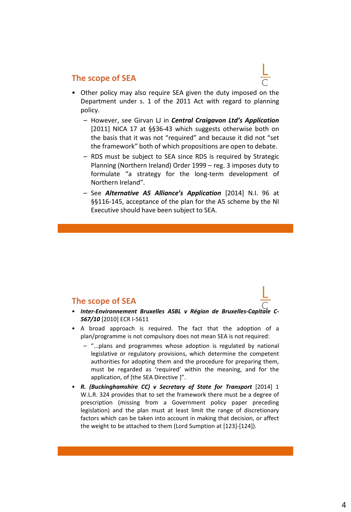- Other policy may also require SEA given the duty imposed on the Department under s. 1 of the 2011 Act with regard to planning policy.
	- However, see Girvan LJ in *Central Craigavon Ltd's Application* [2011] NICA 17 at §§36-43 which suggests otherwise both on the basis that it was not "required" and because it did not "set the framework" both of which propositions are open to debate.
	- RDS must be subject to SEA since RDS is required by Strategic Planning (Northern Ireland) Order 1999 – reg. 3 imposes duty to formulate "a strategy for the long-term development of Northern Ireland".
	- See *Alternative A5 Alliance's Application* [2014] N.I. 96 at §§116-145, acceptance of the plan for the A5 scheme by the NI Executive should have been subject to SEA.

#### **The scope of SEA**

- *Inter-Environnement Bruxelles ASBL v Région de Bruxelles-Capitale C-567/10* [2010] ECR I-5611
- A broad approach is required. The fact that the adoption of a plan/programme is not compulsory does not mean SEA is not required:
	- "...plans and programmes whose adoption is regulated by national legislative or regulatory provisions, which determine the competent authorities for adopting them and the procedure for preparing them, must be regarded as 'required' within the meaning, and for the application, of [the SEA Directive ]".
- *R. (Buckinghamshire CC) v Secretary of State for Transport* [2014] 1 W.L.R. 324 provides that to set the framework there must be a degree of prescription (missing from a Government policy paper preceding legislation) and the plan must at least limit the range of discretionary factors which can be taken into account in making that decision, or affect the weight to be attached to them (Lord Sumption at [123]-[124]).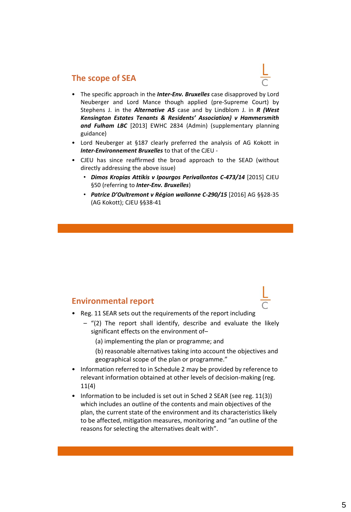- The specific approach in the *Inter-Env. Bruxelles* case disapproved by Lord Neuberger and Lord Mance though applied (pre-Supreme Court) by Stephens J. in the *Alternative A5* case and by Lindblom J. in *R (West Kensington Estates Tenants & Residents' Association) v Hammersmith and Fulham LBC* [2013] EWHC 2834 (Admin) (supplementary planning guidance)
- Lord Neuberger at §187 clearly preferred the analysis of AG Kokott in *Inter-Environnement Bruxelles* to that of the CJEU -
- CJEU has since reaffirmed the broad approach to the SEAD (without directly addressing the above issue)
	- *Dimos Kropias Attikis v Ipourgos Perivallontos C-473/14* [2015] CJEU §50 (referring to *Inter-Env. Bruxelles*)
	- *Patrice D'Oultremont v Région wallonne C-290/15* [2016] AG §§28-35 (AG Kokott); CJEU §§38-41

#### **Environmental report**

- Reg. 11 SEAR sets out the requirements of the report including
	- $-$  "(2) The report shall identify, describe and evaluate the likely significant effects on the environment of–
		- (a) implementing the plan or programme; and
		- (b) reasonable alternatives taking into account the objectives and geographical scope of the plan or programme."
- Information referred to in Schedule 2 may be provided by reference to relevant information obtained at other levels of decision-making (reg. 11(4)
- Information to be included is set out in Sched 2 SEAR (see reg. 11(3)) which includes an outline of the contents and main objectives of the plan, the current state of the environment and its characteristics likely to be affected, mitigation measures, monitoring and "an outline of the reasons for selecting the alternatives dealt with".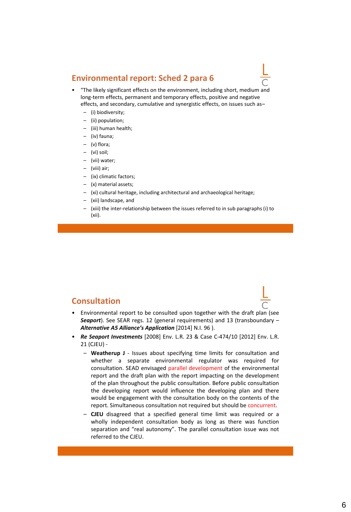#### **Environmental report: Sched 2 para 6**



- "The likely significant effects on the environment, including short, medium and long-term effects, permanent and temporary effects, positive and negative effects, and secondary, cumulative and synergistic effects, on issues such as–
	- (i) biodiversity;
	- (ii) population;
	- (iii) human health;
	- (iv) fauna;
	- (v) flora;
	- (vi) soil;
	- (vii) water;
	- (viii) air;
	- (ix) climatic factors;
	- (x) material assets;
	- (xi) cultural heritage, including architectural and archaeological heritage;
	- (xii) landscape, and
	- (xiii) the inter-relationship between the issues referred to in sub paragraphs (i) to (xii).

#### **Consultation**

- Environmental report to be consulted upon together with the draft plan (see *Seaport*). See SEAR regs. 12 (general requirements) and 13 (transboundary – *Alternative A5 Alliance's Application* [2014] N.I. 96 ).
- *Re Seaport Investments* [2008] Env. L.R. 23 & Case C-474/10 [2012] Env. L.R. 21 (CJEU) -
	- **Weatherup J** Issues about specifying time limits for consultation and whether a separate environmental regulator was required for consultation. SEAD envisaged parallel development of the environmental report and the draft plan with the report impacting on the development of the plan throughout the public consultation. Before public consultation the developing report would influence the developing plan and there would be engagement with the consultation body on the contents of the report. Simultaneous consultation not required but should be concurrent.
	- **CJEU** disagreed that a specified general time limit was required or a wholly independent consultation body as long as there was function separation and "real autonomy". The parallel consultation issue was not referred to the CJEU.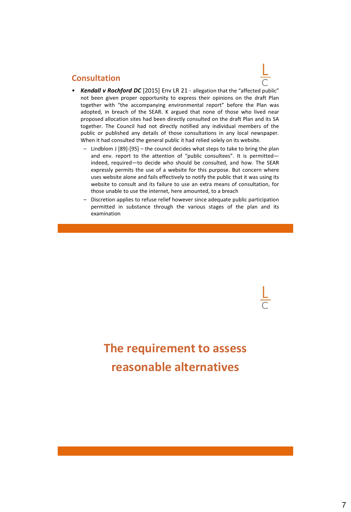#### **Consultation**

- *Kendall v Rochford DC* [2015] Env LR 21 allegation that the "affected public" not been given proper opportunity to express their opinions on the draft Plan together with "the accompanying environmental report" before the Plan was adopted, in breach of the SEAR. K argued that none of those who lived near proposed allocation sites had been directly consulted on the draft Plan and its SA together. The Council had not directly notified any individual members of the public or published any details of those consultations in any local newspaper. When it had consulted the general public it had relied solely on its website.
	- Lindblom J [89]-[95] the council decides what steps to take to bring the plan and env. report to the attention of "public consultees". It is permitted indeed, required—to decide who should be consulted, and how. The SEAR expressly permits the use of a website for this purpose. But concern where uses website alone and fails effectively to notify the public that it was using its website to consult and its failure to use an extra means of consultation, for those unable to use the internet, here amounted, to a breach
	- Discretion applies to refuse relief however since adequate public participation permitted in substance through the various stages of the plan and its examination

# **The requirement to assess reasonable alternatives**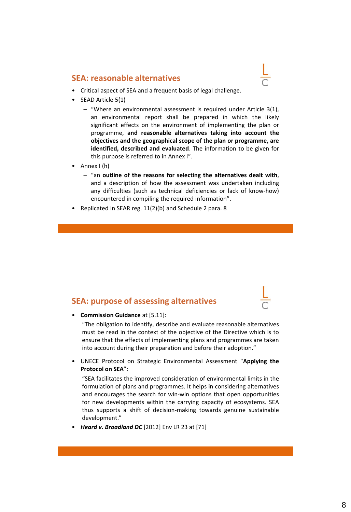

- SEAD Article 5(1)
	- "Where an environmental assessment is required under Article 3(1), an environmental report shall be prepared in which the likely significant effects on the environment of implementing the plan or programme, **and reasonable alternatives taking into account the objectives and the geographical scope of the plan or programme, are identified, described and evaluated**. The information to be given for this purpose is referred to in Annex I".
- Annex I (h)
	- "an **outline of the reasons for selecting the alternatives dealt with**, and a description of how the assessment was undertaken including any difficulties (such as technical deficiencies or lack of know-how) encountered in compiling the required information".
- Replicated in SEAR reg. 11(2)(b) and Schedule 2 para. 8

### **SEA: purpose of assessing alternatives**



"The obligation to identify, describe and evaluate reasonable alternatives must be read in the context of the objective of the Directive which is to ensure that the effects of implementing plans and programmes are taken into account during their preparation and before their adoption."

• UNECE Protocol on Strategic Environmental Assessment "**Applying the Protocol on SEA**":

"SEA facilitates the improved consideration of environmental limits in the formulation of plans and programmes. It helps in considering alternatives and encourages the search for win-win options that open opportunities for new developments within the carrying capacity of ecosystems. SEA thus supports a shift of decision-making towards genuine sustainable development."

• *Heard v. Broadland DC* [2012] Env LR 23 at [71]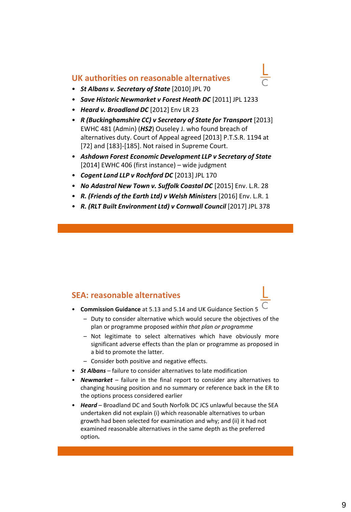#### **UK authorities on reasonable alternatives**

- *St Albans v. Secretary of State* [2010] JPL 70
- *Save Historic Newmarket v Forest Heath DC* [2011] JPL 1233
- *Heard v. Broadland DC* [2012] Env LR 23
- *R (Buckinghamshire CC) v Secretary of State for Transport* [2013] EWHC 481 (Admin) (*HS2*) Ouseley J. who found breach of alternatives duty. Court of Appeal agreed [2013] P.T.S.R. 1194 at [72] and [183]-[185]. Not raised in Supreme Court.
- *Ashdown Forest Economic Development LLP v Secretary of State*  [2014] EWHC 406 (first instance) – wide judgment
- *Cogent Land LLP v Rochford DC* [2013] JPL 170
- *No Adastral New Town v. Suffolk Coastal DC* [2015] Env. L.R. 28
- *R. (Friends of the Earth Ltd) v Welsh Ministers* [2016] Env. L.R. 1
- R. (RLT Built Environment Ltd) v Cornwall Council [2017] JPL 378

#### **SEA: reasonable alternatives**

- **Commission Guidance** at 5.13 and 5.14 and UK Guidance Section 5
	- Duty to consider alternative which would secure the objectives of the plan or programme proposed *within that plan or programme*
	- Not legitimate to select alternatives which have obviously more significant adverse effects than the plan or programme as proposed in a bid to promote the latter.
	- Consider both positive and negative effects.
- *St Albans* failure to consider alternatives to late modification
- *Newmarket* failure in the final report to consider any alternatives to changing housing position and no summary or reference back in the ER to the options process considered earlier
- *Heard* Broadland DC and South Norfolk DC JCS unlawful because the SEA undertaken did not explain (i) which reasonable alternatives to urban growth had been selected for examination and why; and (ii) it had not examined reasonable alternatives in the same depth as the preferred option*.*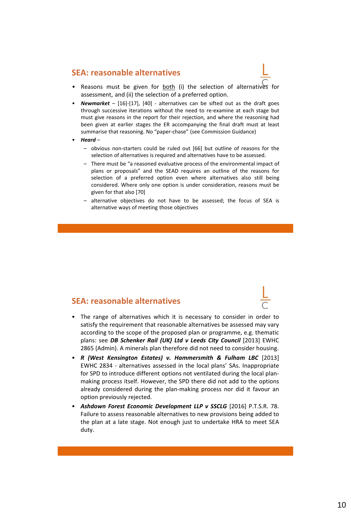- Reasons must be given for both (i) the selection of alternatives for assessment, and (ii) the selection of a preferred option.
- *Newmarket* [16]-[17], [40] alternatives can be sifted out as the draft goes through successive iterations without the need to re-examine at each stage but must give reasons in the report for their rejection, and where the reasoning had been given at earlier stages the ER accompanying the final draft must at least summarise that reasoning. No "paper-chase" (see Commission Guidance)
- *Heard*
	- obvious non-starters could be ruled out [66] but outline of reasons for the selection of alternatives is required and alternatives have to be assessed.
	- There must be "a reasoned evaluative process of the environmental impact of plans or proposals" and the SEAD requires an outline of the reasons for selection of a preferred option even where alternatives also still being considered. Where only one option is under consideration, reasons must be given for that also [70]
	- alternative objectives do not have to be assessed; the focus of SEA is alternative ways of meeting those objectives

#### **SEA: reasonable alternatives**

- The range of alternatives which it is necessary to consider in order to satisfy the requirement that reasonable alternatives be assessed may vary according to the scope of the proposed plan or programme, e.g. thematic plans: see *DB Schenker Rail (UK) Ltd v Leeds City Council* [2013] EWHC 2865 (Admin). A minerals plan therefore did not need to consider housing.
- *R (West Kensington Estates) v. Hammersmith & Fulham LBC* [2013] EWHC 2834 - alternatives assessed in the local plans' SAs. Inappropriate for SPD to introduce different options not ventilated during the local planmaking process itself. However, the SPD there did not add to the options already considered during the plan-making process nor did it favour an option previously rejected.
- *Ashdown Forest Economic Development LLP v SSCLG* [2016] P.T.S.R. 78. Failure to assess reasonable alternatives to new provisions being added to the plan at a late stage. Not enough just to undertake HRA to meet SEA duty.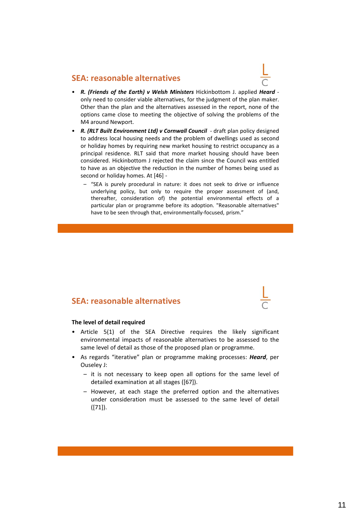

- *R. (Friends of the Earth) v Welsh Ministers* Hickinbottom J. applied *Heard* only need to consider viable alternatives, for the judgment of the plan maker. Other than the plan and the alternatives assessed in the report, none of the options came close to meeting the objective of solving the problems of the M4 around Newport.
- *R. (RLT Built Environment Ltd) v Cornwall Council* draft plan policy designed to address local housing needs and the problem of dwellings used as second or holiday homes by requiring new market housing to restrict occupancy as a principal residence. RLT said that more market housing should have been considered. Hickinbottom J rejected the claim since the Council was entitled to have as an objective the reduction in the number of homes being used as second or holiday homes. At [46] -
	- "SEA is purely procedural in nature: it does not seek to drive or influence underlying policy, but only to require the proper assessment of (and, thereafter, consideration of) the potential environmental effects of a particular plan or programme before its adoption. "Reasonable alternatives" have to be seen through that, environmentally-focused, prism."

#### **SEA: reasonable alternatives**

#### **The level of detail required**

- Article 5(1) of the SEA Directive requires the likely significant environmental impacts of reasonable alternatives to be assessed to the same level of detail as those of the proposed plan or programme.
- As regards "iterative" plan or programme making processes: *Heard*, per Ouseley J:
	- it is not necessary to keep open all options for the same level of detailed examination at all stages ([67]).
	- However, at each stage the preferred option and the alternatives under consideration must be assessed to the same level of detail ([71]).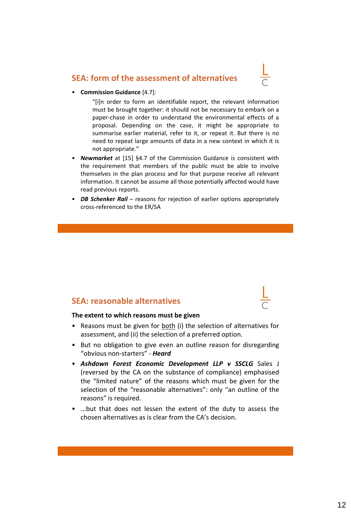#### **SEA: form of the assessment of alternatives**



• **Commission Guidance** [4.7]:

"[i]n order to form an identifiable report, the relevant information must be brought together: it should not be necessary to embark on a paper-chase in order to understand the environmental effects of a proposal. Depending on the case, it might be appropriate to summarise earlier material, refer to it, or repeat it. But there is no need to repeat large amounts of data in a new context in which it is not appropriate."

- *Newmarket* at [15] §4.7 of the Commission Guidance is consistent with the requirement that members of the public must be able to involve themselves in the plan process and for that purpose receive all relevant information. It cannot be assume all those potentially affected would have read previous reports.
- *DB Schenker Rail* reasons for rejection of earlier options appropriately cross-referenced to the ER/SA

#### **SEA: reasonable alternatives**

#### **The extent to which reasons must be given**

- Reasons must be given for both (i) the selection of alternatives for assessment, and (ii) the selection of a preferred option.
- But no obligation to give even an outline reason for disregarding "obvious non-starters" - *Heard*
- *Ashdown Forest Economic Development LLP v SSCLG* Sales J (reversed by the CA on the substance of compliance) emphasised the "limited nature" of the reasons which must be given for the selection of the "reasonable alternatives": only "an outline of the reasons" is required.
- ...but that does not lessen the extent of the duty to assess the chosen alternatives as is clear from the CA's decision.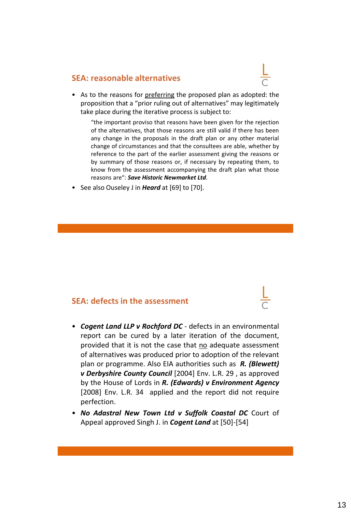

• As to the reasons for preferring the proposed plan as adopted: the proposition that a "prior ruling out of alternatives" may legitimately take place during the iterative process is subject to:

"the important proviso that reasons have been given for the rejection of the alternatives, that those reasons are still valid if there has been any change in the proposals in the draft plan or any other material change of circumstances and that the consultees are able, whether by reference to the part of the earlier assessment giving the reasons or by summary of those reasons or, if necessary by repeating them, to know from the assessment accompanying the draft plan what those reasons are": *Save Historic Newmarket Ltd*.

• See also Ouseley J in *Heard* at [69] to [70].

#### **SEA: defects in the assessment**

- *Cogent Land LLP v Rochford DC* defects in an environmental report can be cured by a later iteration of the document, provided that it is not the case that no adequate assessment of alternatives was produced prior to adoption of the relevant plan or programme. Also EIA authorities such as *R. (Blewett) v Derbyshire County Council* [2004] Env. L.R. 29 , as approved by the House of Lords in *R. (Edwards) v Environment Agency* [2008] Env. L.R. 34 applied and the report did not require perfection.
- *No Adastral New Town Ltd v Suffolk Coastal DC* Court of Appeal approved Singh J. in *Cogent Land* at [50]-[54]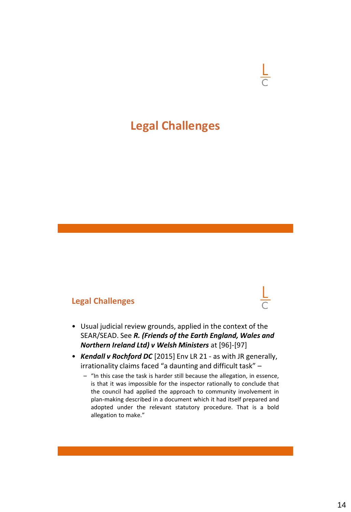## **Legal Challenges**

#### **Legal Challenges**

- Usual judicial review grounds, applied in the context of the SEAR/SEAD. See *R. (Friends of the Earth England, Wales and Northern Ireland Ltd) v Welsh Ministers* at [96]-[97]
- *Kendall v Rochford DC* [2015] Env LR 21 as with JR generally, irrationality claims faced "a daunting and difficult task" –
	- "In this case the task is harder still because the allegation, in essence, is that it was impossible for the inspector rationally to conclude that the council had applied the approach to community involvement in plan-making described in a document which it had itself prepared and adopted under the relevant statutory procedure. That is a bold allegation to make."